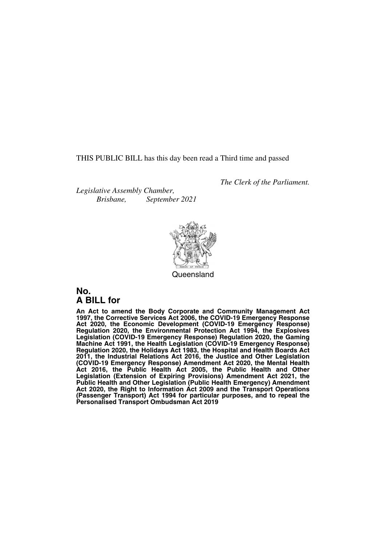THIS PUBLIC BILL has this day been read a Third time and passed

*Legislative Assembly Chamber, Brisbane, September 2021*



*The Clerk of the Parliament.*

**Queensland** 

### **No. A BILL for**

**An Act to amend the Body Corporate and Community Management Act 1997, the Corrective Services Act 2006, the COVID-19 Emergency Response Act 2020, the Economic Development (COVID-19 Emergency Response) Regulation 2020, the Environmental Protection Act 1994, the Explosives Legislation (COVID-19 Emergency Response) Regulation 2020, the Gaming Machine Act 1991, the Health Legislation (COVID-19 Emergency Response) Regulation 2020, the Holidays Act 1983, the Hospital and Health Boards Act 2011, the Industrial Relations Act 2016, the Justice and Other Legislation (COVID-19 Emergency Response) Amendment Act 2020, the Mental Health Act 2016, the Public Health Act 2005, the Public Health and Other Legislation (Extension of Expiring Provisions) Amendment Act 2021, the Public Health and Other Legislation (Public Health Emergency) Amendment Act 2020, the Right to Information Act 2009 and the Transport Operations (Passenger Transport) Act 1994 for particular purposes, and to repeal the Personalised Transport Ombudsman Act 2019**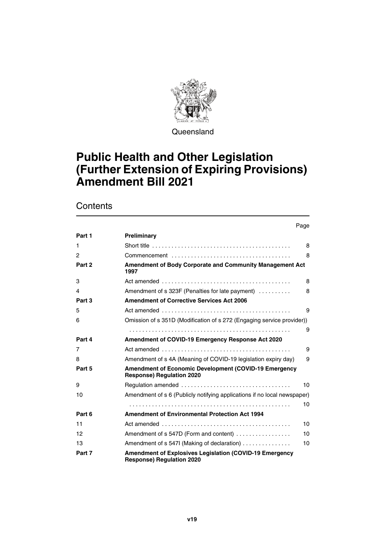

**Queensland** 

### **Public Health and Other Legislation (Further Extension of Expiring Provisions) Amendment Bill 2021**

### **Contents**

|                | Page                                                                                                |
|----------------|-----------------------------------------------------------------------------------------------------|
| Part 1         | Preliminary                                                                                         |
| 1              | 8                                                                                                   |
| $\mathfrak{p}$ | 8                                                                                                   |
| Part 2         | Amendment of Body Corporate and Community Management Act<br>1997                                    |
| 3              | 8                                                                                                   |
| 4              | Amendment of s 323F (Penalties for late payment)<br>8                                               |
| Part 3         | <b>Amendment of Corrective Services Act 2006</b>                                                    |
| 5              | 9                                                                                                   |
| 6              | Omission of s 351D (Modification of s 272 (Engaging service provider))                              |
|                | 9                                                                                                   |
| Part 4         | Amendment of COVID-19 Emergency Response Act 2020                                                   |
| 7              | 9                                                                                                   |
| 8              | Amendment of s 4A (Meaning of COVID-19 legislation expiry day)<br>9                                 |
| Part 5         | Amendment of Economic Development (COVID-19 Emergency<br><b>Response) Regulation 2020</b>           |
| 9              | 10                                                                                                  |
| 10             | Amendment of s 6 (Publicly notifying applications if no local newspaper)                            |
|                | 10                                                                                                  |
| Part 6         | <b>Amendment of Environmental Protection Act 1994</b>                                               |
| 11             | 10                                                                                                  |
| 12             | Amendment of s 547D (Form and content)<br>10                                                        |
| 13             | Amendment of s 547I (Making of declaration)<br>10                                                   |
| Part 7         | <b>Amendment of Explosives Legislation (COVID-19 Emergency)</b><br><b>Response) Regulation 2020</b> |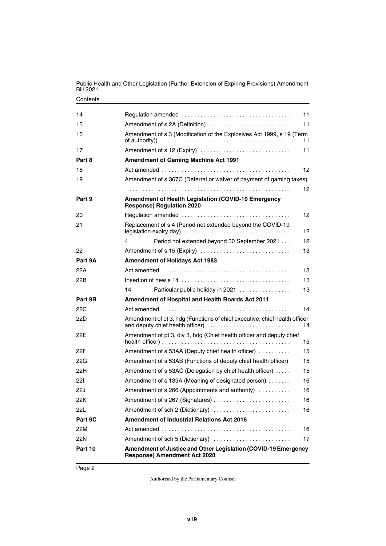| Public Health and Other Legislation (Further Extension of Expiring Provisions) Amendment<br><b>Bill 2021</b> |
|--------------------------------------------------------------------------------------------------------------|
| Contents                                                                                                     |

| Amendment of sch 2 (Dictionary)<br><b>Amendment of Industrial Relations Act 2016</b><br>Amendment of sch 5 (Dictionary)                                                      | 16<br>16<br>17 |
|------------------------------------------------------------------------------------------------------------------------------------------------------------------------------|----------------|
|                                                                                                                                                                              |                |
|                                                                                                                                                                              |                |
|                                                                                                                                                                              |                |
|                                                                                                                                                                              |                |
|                                                                                                                                                                              | 16             |
| Amendment of s 266 (Appointments and authority)                                                                                                                              | 16             |
| Amendment of s 139A (Meaning of designated person)                                                                                                                           | 16             |
| Amendment of s 53AC (Delegation by chief health officer)                                                                                                                     | 15             |
| Amendment of s 53AB (Functions of deputy chief health officer)                                                                                                               | 15             |
| Amendment of s 53AA (Deputy chief health officer)                                                                                                                            | 15             |
| Amendment of pt 3, div 3, hdg (Chief health officer and deputy chief                                                                                                         | 15             |
| Amendment of pt 3, hdg (Functions of chief executive, chief health officer<br>and deputy chief health officer)                                                               | 14             |
|                                                                                                                                                                              | 14             |
| Amendment of Hospital and Health Boards Act 2011                                                                                                                             |                |
| 14<br>Particular public holiday in 2021                                                                                                                                      | 13             |
|                                                                                                                                                                              | 13             |
|                                                                                                                                                                              | 13             |
| <b>Amendment of Holidays Act 1983</b>                                                                                                                                        |                |
| Amendment of s 15 (Expiry)                                                                                                                                                   | 13             |
| Period not extended beyond 30 September 2021<br>4                                                                                                                            | 12             |
| Replacement of s 4 (Period not extended beyond the COVID-19                                                                                                                  | 12             |
|                                                                                                                                                                              | 12             |
| Amendment of Health Legislation (COVID-19 Emergency<br><b>Response) Regulation 2020</b>                                                                                      |                |
|                                                                                                                                                                              | 12.            |
| Amendment of s 367C (Deferral or waiver of payment of gaming taxes)                                                                                                          |                |
|                                                                                                                                                                              | 12             |
| <b>Amendment of Gaming Machine Act 1991</b>                                                                                                                                  |                |
| Amendment of s 12 (Expiry)                                                                                                                                                   | 11             |
| Amendment of s 3 (Modification of the Explosives Act 1999, s 19 (Term<br>of authority) $\ldots \ldots \ldots \ldots \ldots \ldots \ldots \ldots \ldots \ldots \ldots \ldots$ | 11             |
| Amendment of s 2A (Definition)                                                                                                                                               | 11             |
|                                                                                                                                                                              | 11             |
|                                                                                                                                                                              |                |

Page 2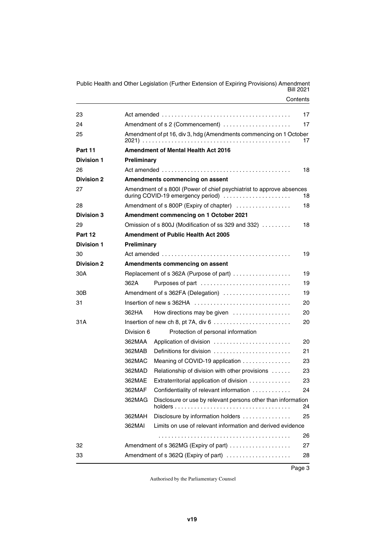**Contents** Public Health and Other Legislation (Further Extension of Expiring Provisions) Amendment Bill 2021

| 23                |                    |                                                                                                           | 17 |
|-------------------|--------------------|-----------------------------------------------------------------------------------------------------------|----|
| 24                |                    | Amendment of s 2 (Commencement)                                                                           | 17 |
| 25                |                    | Amendment of pt 16, div 3, hdg (Amendments commencing on 1 October                                        | 17 |
| Part 11           |                    | <b>Amendment of Mental Health Act 2016</b>                                                                |    |
| <b>Division 1</b> | Preliminary        |                                                                                                           |    |
| 26                |                    |                                                                                                           | 18 |
| <b>Division 2</b> |                    | Amendments commencing on assent                                                                           |    |
| 27                |                    | Amendment of s 800I (Power of chief psychiatrist to approve absences<br>during COVID-19 emergency period) | 18 |
| 28                |                    | Amendment of s 800P (Expiry of chapter)                                                                   | 18 |
| <b>Division 3</b> |                    | Amendment commencing on 1 October 2021                                                                    |    |
| 29                |                    | Omission of s 800J (Modification of ss 329 and 332) $\ldots \ldots$                                       | 18 |
| Part 12           |                    | <b>Amendment of Public Health Act 2005</b>                                                                |    |
| <b>Division 1</b> | <b>Preliminary</b> |                                                                                                           |    |
| 30                |                    |                                                                                                           | 19 |
| <b>Division 2</b> |                    | Amendments commencing on assent                                                                           |    |
| 30A               |                    | Replacement of s 362A (Purpose of part)                                                                   | 19 |
|                   | 362A               | Purposes of part                                                                                          | 19 |
| 30B               |                    | Amendment of s 362FA (Delegation)                                                                         | 19 |
| 31                |                    | Insertion of new s 362HA                                                                                  | 20 |
|                   | 362HA              | How directions may be given                                                                               | 20 |
| 31 A              |                    | Insertion of new ch 8, pt 7A, div $6 \ldots \ldots \ldots \ldots \ldots \ldots \ldots$                    | 20 |
|                   | Division 6         | Protection of personal information                                                                        |    |
|                   | 362MAA             | Application of division                                                                                   | 20 |
|                   | 362MAB             | Definitions for division $\ldots, \ldots, \ldots, \ldots, \ldots, \ldots$                                 | 21 |
|                   | 362MAC             | Meaning of COVID-19 application $\ldots \ldots \ldots \ldots$                                             | 23 |
|                   | 362MAD             | Relationship of division with other provisions                                                            | 23 |
|                   | 362MAE             | Extraterritorial application of division                                                                  | 23 |
|                   | 362MAF             | Confidentiality of relevant information                                                                   | 24 |
|                   | 362MAG             | Disclosure or use by relevant persons other than information<br>holders                                   | 24 |
|                   | 362MAH             | Disclosure by information holders                                                                         | 25 |
|                   | 362MAI             | Limits on use of relevant information and derived evidence                                                |    |
|                   |                    |                                                                                                           | 26 |
| 32                |                    | Amendment of s 362MG (Expiry of part)                                                                     | 27 |
| 33                |                    | Amendment of s 362Q (Expiry of part)                                                                      | 28 |

Page 3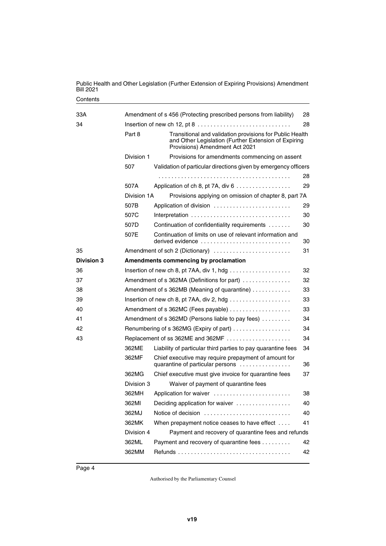| Public Health and Other Legislation (Further Extension of Expiring Provisions) Amendment<br><b>Bill 2021</b> |
|--------------------------------------------------------------------------------------------------------------|
| Contents                                                                                                     |

| 33A               |             | Amendment of s 456 (Protecting prescribed persons from liability)                                                                                  | 28 |
|-------------------|-------------|----------------------------------------------------------------------------------------------------------------------------------------------------|----|
| 34                |             |                                                                                                                                                    | 28 |
|                   | Part 8      | Transitional and validation provisions for Public Health<br>and Other Legislation (Further Extension of Expiring<br>Provisions) Amendment Act 2021 |    |
|                   | Division 1  | Provisions for amendments commencing on assent                                                                                                     |    |
|                   | 507         | Validation of particular directions given by emergency officers                                                                                    |    |
|                   |             |                                                                                                                                                    | 28 |
|                   | 507A        | Application of ch 8, pt 7A, div 6                                                                                                                  | 29 |
|                   | Division 1A | Provisions applying on omission of chapter 8, part 7A                                                                                              |    |
|                   | 507B        | Application of division                                                                                                                            | 29 |
|                   | 507C        |                                                                                                                                                    | 30 |
|                   | 507D        | Continuation of confidentiality requirements                                                                                                       | 30 |
|                   | 507E        | Continuation of limits on use of relevant information and<br>derived evidence                                                                      | 30 |
| 35                |             | Amendment of sch 2 (Dictionary)                                                                                                                    | 31 |
| <b>Division 3</b> |             | Amendments commencing by proclamation                                                                                                              |    |
| 36                |             |                                                                                                                                                    | 32 |
| 37                |             | Amendment of s 362MA (Definitions for part)                                                                                                        | 32 |
| 38                |             | Amendment of s 362MB (Meaning of quarantine)                                                                                                       | 33 |
| 39                |             | Insertion of new ch 8, pt 7AA, div 2, hdg $\ldots$                                                                                                 | 33 |
| 40                |             | Amendment of s 362MC (Fees payable)                                                                                                                | 33 |
| 41                |             | Amendment of s 362MD (Persons liable to pay fees)                                                                                                  | 34 |
| 42                |             | Renumbering of s 362MG (Expiry of part)                                                                                                            | 34 |
| 43                |             | Replacement of ss 362ME and 362MF                                                                                                                  | 34 |
|                   | 362ME       | Liability of particular third parties to pay quarantine fees                                                                                       | 34 |
|                   | 362MF       | Chief executive may require prepayment of amount for<br>quarantine of particular persons                                                           | 36 |
|                   | 362MG       | Chief executive must give invoice for quarantine fees                                                                                              | 37 |
|                   | Division 3  | Waiver of payment of quarantine fees                                                                                                               |    |
|                   | 362MH       | Application for waiver                                                                                                                             | 38 |
|                   | 362MI       | Deciding application for waiver                                                                                                                    | 40 |
|                   | 362MJ       | Notice of decision                                                                                                                                 | 40 |
|                   | 362MK       | When prepayment notice ceases to have effect                                                                                                       | 41 |
|                   | Division 4  | Payment and recovery of quarantine fees and refunds                                                                                                |    |
|                   | 362ML       | Payment and recovery of quarantine fees                                                                                                            | 42 |
|                   | 362MM       |                                                                                                                                                    | 42 |

Page 4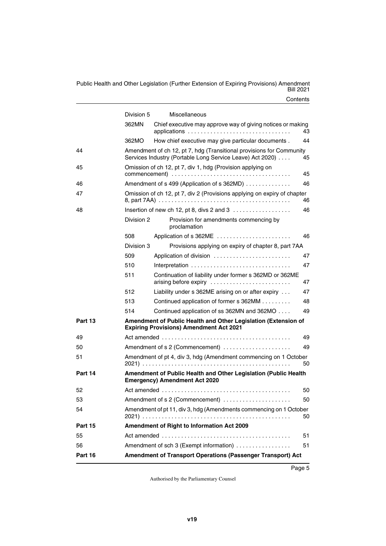**Contents** Public Health and Other Legislation (Further Extension of Expiring Provisions) Amendment Bill 2021

|                | Division 5 | Miscellaneous                                                                                                                     |    |
|----------------|------------|-----------------------------------------------------------------------------------------------------------------------------------|----|
|                | 362MN      | Chief executive may approve way of giving notices or making                                                                       | 43 |
|                | 362MO      | How chief executive may give particular documents.                                                                                | 44 |
| 44             |            | Amendment of ch 12, pt 7, hdg (Transitional provisions for Community<br>Services Industry (Portable Long Service Leave) Act 2020) | 45 |
| 45             |            | Omission of ch 12, pt 7, div 1, hdg (Provision applying on                                                                        | 45 |
| 46             |            | Amendment of s 499 (Application of s 362MD)                                                                                       | 46 |
| 47             |            | Omission of ch 12, pt 7, div 2 (Provisions applying on expiry of chapter                                                          | 46 |
| 48             |            | Insertion of new ch 12, pt 8, divs $2$ and $3$                                                                                    | 46 |
|                | Division 2 | Provision for amendments commencing by<br>proclamation                                                                            |    |
|                | 508        | Application of s 362ME                                                                                                            | 46 |
|                | Division 3 | Provisions applying on expiry of chapter 8, part 7AA                                                                              |    |
|                | 509        | Application of division                                                                                                           | 47 |
|                | 510        |                                                                                                                                   | 47 |
|                | 511        | Continuation of liability under former s 362MD or 362ME<br>arising before expiry                                                  | 47 |
|                | 512        | Liability under s 362ME arising on or after expiry                                                                                | 47 |
|                | 513        | Continued application of former s 362MM                                                                                           | 48 |
|                | 514        | Continued application of ss 362MN and 362MO                                                                                       | 49 |
| Part 13        |            | Amendment of Public Health and Other Legislation (Extension of<br><b>Expiring Provisions) Amendment Act 2021</b>                  |    |
| 49             |            |                                                                                                                                   | 49 |
| 50             |            | Amendment of s 2 (Commencement)                                                                                                   | 49 |
| 51             |            | Amendment of pt 4, div 3, hdg (Amendment commencing on 1 October                                                                  | 50 |
| Part 14        |            | Amendment of Public Health and Other Legislation (Public Health<br><b>Emergency) Amendment Act 2020</b>                           |    |
| 52             |            |                                                                                                                                   | 50 |
| 53             |            | Amendment of s 2 (Commencement)                                                                                                   | 50 |
| 54             |            | Amendment of pt 11, div 3, hdg (Amendments commencing on 1 October                                                                | 50 |
| <b>Part 15</b> |            | Amendment of Right to Information Act 2009                                                                                        |    |
| 55             |            |                                                                                                                                   | 51 |
| 56             |            | Amendment of sch 3 (Exempt information)                                                                                           | 51 |
| Part 16        |            | Amendment of Transport Operations (Passenger Transport) Act                                                                       |    |

Page 5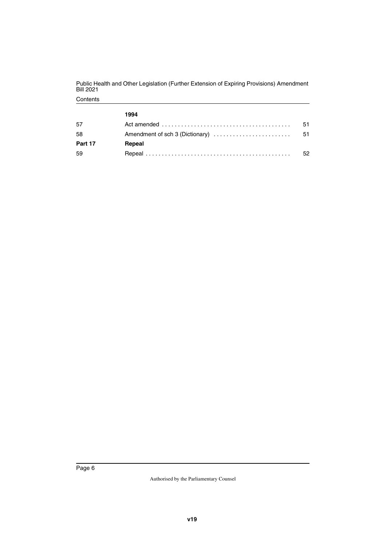|         | 1994                                                                                              |    |
|---------|---------------------------------------------------------------------------------------------------|----|
| .5      | Act amended $\ldots \ldots \ldots \ldots \ldots \ldots \ldots \ldots \ldots \ldots \ldots \ldots$ | 51 |
| -58     | Amendment of sch 3 (Dictionary)                                                                   | 51 |
| Part 17 | Repeal                                                                                            |    |
| -59     |                                                                                                   |    |

Contents Public Health and Other Legislation (Further Extension of Expiring Provisions) Amendment Bill 2021

Page 6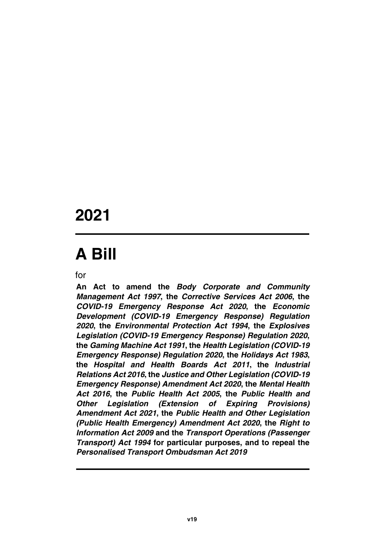# **2021**

# **A Bill**

for

**An Act to amend the** *Body Corporate and Community Management Act 1997***, the** *Corrective Services Act 2006***, the** *COVID-19 Emergency Response Act 2020***, the** *Economic Development (COVID-19 Emergency Response) Regulation 2020***, the** *Environmental Protection Act 1994***, the** *Explosives Legislation (COVID-19 Emergency Response) Regulation 2020***, the** *Gaming Machine Act 1991***, the** *Health Legislation (COVID-19 Emergency Response) Regulation 2020***, the** *Holidays Act 1983***, the** *Hospital and Health Boards Act 2011***, the** *Industrial Relations Act 2016***, the** *Justice and Other Legislation (COVID-19 Emergency Response) Amendment Act 2020***, the** *Mental Health Act 2016***, the** *Public Health Act 2005***, the** *Public Health and Other Legislation (Extension of Expiring Provisions) Amendment Act 2021***, the** *Public Health and Other Legislation (Public Health Emergency) Amendment Act 2020***, the** *Right to Information Act 2009* **and the** *Transport Operations (Passenger Transport) Act 1994* **for particular purposes, and to repeal the** *Personalised Transport Ombudsman Act 2019*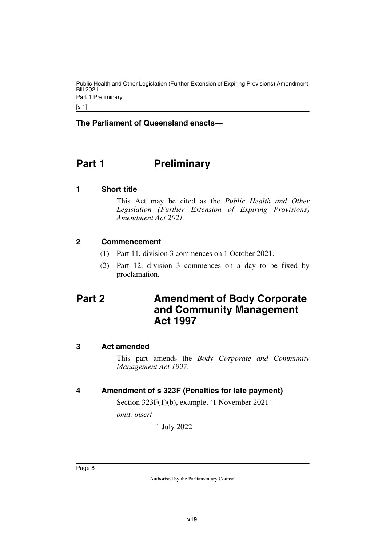Public Health and Other Legislation (Further Extension of Expiring Provisions) Amendment Bill 2021 Part 1 Preliminary

 $[s 1]$ 

**The Parliament of Queensland enacts—**

### <span id="page-9-0"></span>**Part 1** Preliminary

#### <span id="page-9-2"></span>**1 Short title**

<span id="page-9-3"></span><span id="page-9-1"></span>This Act may be cited as the *Public Health and Other Legislation (Further Extension of Expiring Provisions) Amendment Act 2021*.

#### <span id="page-9-4"></span>**2 Commencement**

- <span id="page-9-5"></span>(1) Part 11, division 3 commences on 1 October 2021.
- <span id="page-9-7"></span>(2) Part 12, division 3 commences on a day to be fixed by proclamation.

### <span id="page-9-6"></span>**Part 2 Amendment of Body Corporate and Community Management Act 1997**

#### <span id="page-9-8"></span>**3 Act amended**

<span id="page-9-9"></span>This part amends the *Body Corporate and Community Management Act 1997*.

#### <span id="page-9-10"></span>**4 Amendment of s 323F (Penalties for late payment)**

<span id="page-9-11"></span>Section 323F(1)(b), example, '1 November 2021'—

*omit, insert—*

1 July 2022

Page 8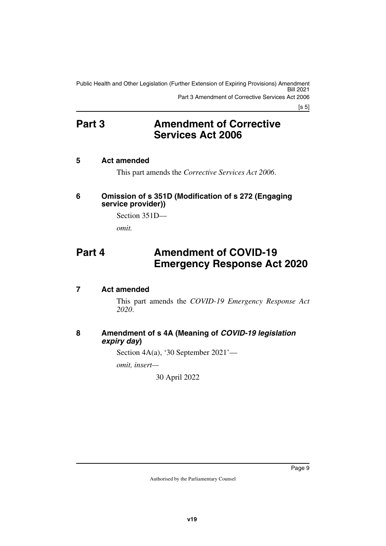Public Health and Other Legislation (Further Extension of Expiring Provisions) Amendment Bill 2021 Part 3 Amendment of Corrective Services Act 2006

 $[s 5]$ 

### <span id="page-10-0"></span>**Part 3** Amendment of Corrective **Services Act 2006**

#### <span id="page-10-2"></span>**5 Act amended**

<span id="page-10-5"></span><span id="page-10-3"></span><span id="page-10-1"></span>This part amends the *Corrective Services Act 2006*.

#### <span id="page-10-4"></span>**6 Omission of s 351D (Modification of s 272 (Engaging service provider))**

<span id="page-10-7"></span>Section 351D *omit.*

### <span id="page-10-6"></span>**Part 4 Amendment of COVID-19 Emergency Response Act 2020**

#### <span id="page-10-8"></span>**7 Act amended**

<span id="page-10-9"></span>This part amends the *COVID-19 Emergency Response Act 2020*.

#### <span id="page-10-11"></span><span id="page-10-10"></span>**8 Amendment of s 4A (Meaning of** *COVID-19 legislation expiry day***)**

Section 4A(a), '30 September 2021'—

*omit, insert—*

30 April 2022

Page 9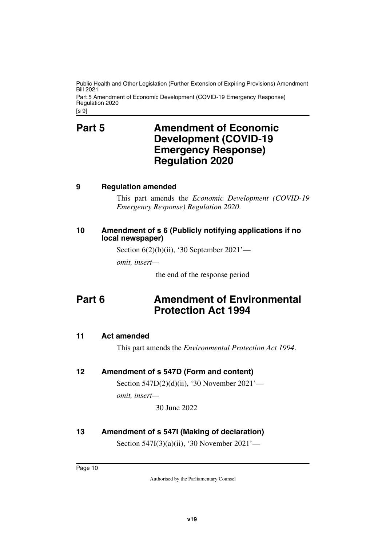[s 9] Public Health and Other Legislation (Further Extension of Expiring Provisions) Amendment Bill 2021 Part 5 Amendment of Economic Development (COVID-19 Emergency Response) Regulation 2020

### <span id="page-11-1"></span><span id="page-11-0"></span>**Part 5** Amendment of Economic **Development (COVID-19 Emergency Response) Regulation 2020**

#### <span id="page-11-2"></span>**9 Regulation amended**

<span id="page-11-3"></span>This part amends the *Economic Development (COVID-19 Emergency Response) Regulation 2020*.

#### <span id="page-11-5"></span><span id="page-11-4"></span>**10 Amendment of s 6 (Publicly notifying applications if no local newspaper)**

Section 6(2)(b)(ii), '30 September 2021'—

*omit, insert—*

<span id="page-11-7"></span>the end of the response period

### <span id="page-11-6"></span>**Part 6 Amendment of Environmental Protection Act 1994**

#### <span id="page-11-8"></span>**11 Act amended**

<span id="page-11-9"></span>This part amends the *Environmental Protection Act 1994*.

#### <span id="page-11-10"></span>**12 Amendment of s 547D (Form and content)**

<span id="page-11-11"></span>Section 547D(2)(d)(ii), '30 November 2021' *omit, insert—*

30 June 2022

#### <span id="page-11-12"></span>**13 Amendment of s 547I (Making of declaration)**

<span id="page-11-13"></span>Section 547I(3)(a)(ii), '30 November 2021'—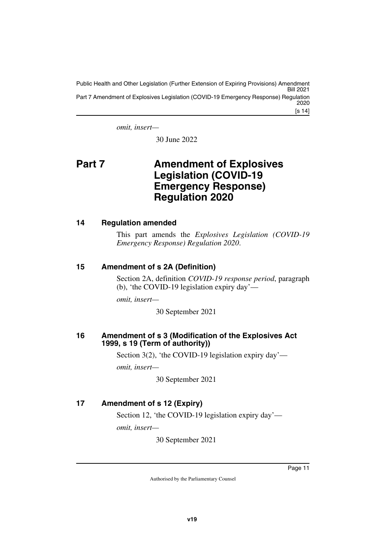[s 14] Public Health and Other Legislation (Further Extension of Expiring Provisions) Amendment Bill 2021 Part 7 Amendment of Explosives Legislation (COVID-19 Emergency Response) Regulation 2020

*omit, insert—*

<span id="page-12-1"></span>30 June 2022

### <span id="page-12-0"></span>**Part 7 Amendment of Explosives Legislation (COVID-19 Emergency Response) Regulation 2020**

#### <span id="page-12-2"></span>**14 Regulation amended**

<span id="page-12-3"></span>This part amends the *Explosives Legislation (COVID-19 Emergency Response) Regulation 2020*.

#### <span id="page-12-4"></span>**15 Amendment of s 2A (Definition)**

<span id="page-12-5"></span>Section 2A, definition *COVID-19 response period*, paragraph (b), 'the COVID-19 legislation expiry day'—

*omit, insert—*

30 September 2021

#### <span id="page-12-7"></span><span id="page-12-6"></span>**16 Amendment of s 3 (Modification of the Explosives Act 1999, s 19 (Term of authority))**

Section 3(2), 'the COVID-19 legislation expiry day'—

*omit, insert—*

30 September 2021

#### <span id="page-12-8"></span>**17 Amendment of s 12 (Expiry)**

<span id="page-12-9"></span>Section 12, 'the COVID-19 legislation expiry day' *omit, insert—*

30 September 2021

Page 11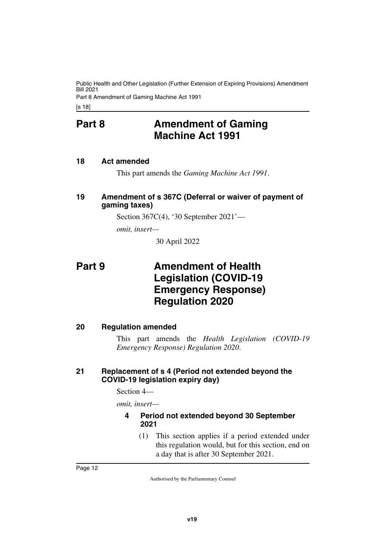<span id="page-13-0"></span>[s 18]

### **Part 8 Amendment of Gaming Machine Act 1991**

#### <span id="page-13-2"></span>**18 Act amended**

<span id="page-13-5"></span><span id="page-13-3"></span><span id="page-13-1"></span>This part amends the *Gaming Machine Act 1991*.

#### <span id="page-13-4"></span>**19 Amendment of s 367C (Deferral or waiver of payment of gaming taxes)**

Section 367C(4), '30 September 2021'—

*omit, insert—*

<span id="page-13-7"></span>30 April 2022

### <span id="page-13-6"></span>**Part 9 Amendment of Health Legislation (COVID-19 Emergency Response) Regulation 2020**

#### <span id="page-13-8"></span>**20 Regulation amended**

<span id="page-13-9"></span>This part amends the *Health Legislation (COVID-19 Emergency Response) Regulation 2020*.

#### <span id="page-13-11"></span><span id="page-13-10"></span>**21 Replacement of s 4 (Period not extended beyond the COVID-19 legislation expiry day)**

Section 4—

*omit, insert—*

#### <span id="page-13-13"></span><span id="page-13-12"></span>**4 Period not extended beyond 30 September 2021**

(1) This section applies if a period extended under this regulation would, but for this section, end on a day that is after 30 September 2021.

Page 12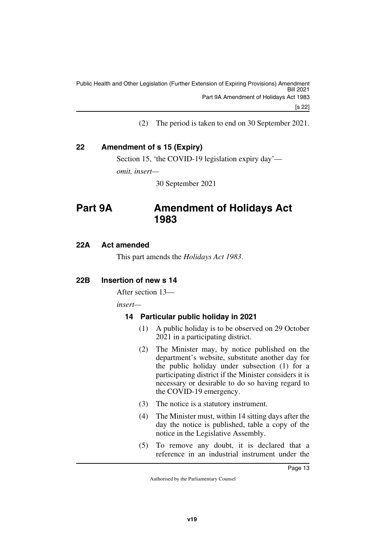(2) The period is taken to end on 30 September 2021.

#### <span id="page-14-0"></span>**22 Amendment of s 15 (Expiry)**

<span id="page-14-1"></span>Section 15, 'the COVID-19 legislation expiry day' *omit, insert—*

<span id="page-14-3"></span>30 September 2021

### <span id="page-14-2"></span>**Part 9A Amendment of Holidays Act 1983**

#### <span id="page-14-4"></span>**22A Act amended**

<span id="page-14-7"></span><span id="page-14-5"></span>This part amends the *Holidays Act 1983*.

#### <span id="page-14-6"></span>**22B Insertion of new s 14**

After section 13—

*insert—*

#### <span id="page-14-9"></span><span id="page-14-8"></span>**14 Particular public holiday in 2021**

- (1) A public holiday is to be observed on 29 October 2021 in a participating district.
- (2) The Minister may, by notice published on the department's website, substitute another day for the public holiday under subsection (1) for a participating district if the Minister considers it is necessary or desirable to do so having regard to the COVID-19 emergency.
- (3) The notice is a statutory instrument.
- (4) The Minister must, within 14 sitting days after the day the notice is published, table a copy of the notice in the Legislative Assembly.
- (5) To remove any doubt, it is declared that a reference in an industrial instrument under the

Page 13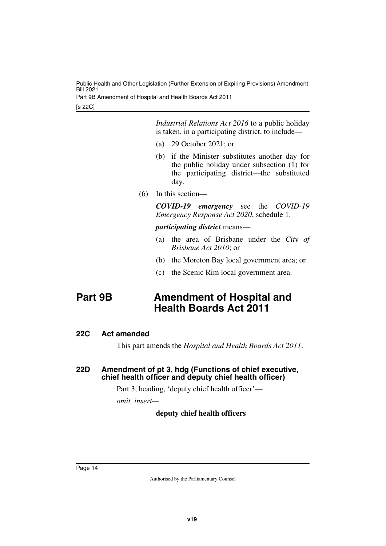[s 22C] Public Health and Other Legislation (Further Extension of Expiring Provisions) Amendment Bill 2021 Part 9B Amendment of Hospital and Health Boards Act 2011

> *Industrial Relations Act 2016* to a public holiday is taken, in a participating district, to include—

- (a) 29 October 2021; or
- (b) if the Minister substitutes another day for the public holiday under subsection (1) for the participating district—the substituted day.
- (6) In this section—

*COVID-19 emergency* see the *COVID-19 Emergency Response Act 2020*, schedule 1.

*participating district* means—

- (a) the area of Brisbane under the *City of Brisbane Act 2010*; or
- (b) the Moreton Bay local government area; or
- <span id="page-15-1"></span>(c) the Scenic Rim local government area.

### <span id="page-15-0"></span>**Part 9B Amendment of Hospital and Health Boards Act 2011**

#### <span id="page-15-2"></span>**22C Act amended**

<span id="page-15-5"></span><span id="page-15-3"></span>This part amends the *Hospital and Health Boards Act 2011*.

#### <span id="page-15-4"></span>**22D Amendment of pt 3, hdg (Functions of chief executive, chief health officer and deputy chief health officer)**

Part 3, heading, 'deputy chief health officer'—

*omit, insert—*

#### **deputy chief health officers**

Page 14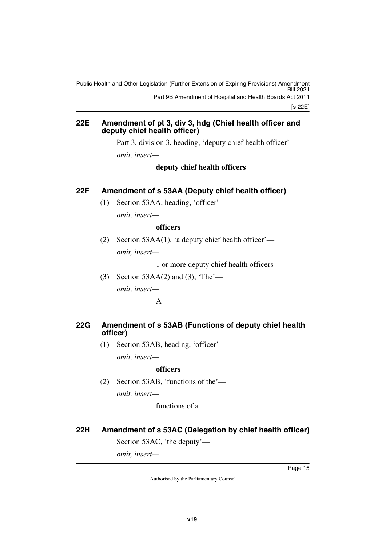[s 22E] Public Health and Other Legislation (Further Extension of Expiring Provisions) Amendment Bill 2021 Part 9B Amendment of Hospital and Health Boards Act 2011

#### <span id="page-16-1"></span><span id="page-16-0"></span>**22E Amendment of pt 3, div 3, hdg (Chief health officer and deputy chief health officer)**

Part 3, division 3, heading, 'deputy chief health officer' *omit, insert—*

**deputy chief health officers**

#### <span id="page-16-2"></span>**22F Amendment of s 53AA (Deputy chief health officer)**

<span id="page-16-3"></span>(1) Section 53AA, heading, 'officer' *omit, insert—*

#### **officers**

(2) Section 53AA(1), 'a deputy chief health officer' *omit, insert—*

1 or more deputy chief health officers

(3) Section 53AA(2) and (3), 'The' *omit, insert—* A

#### <span id="page-16-5"></span><span id="page-16-4"></span>**22G Amendment of s 53AB (Functions of deputy chief health officer)**

(1) Section 53AB, heading, 'officer'—

*omit, insert—*

#### **officers**

(2) Section 53AB, 'functions of the' *omit, insert—*

functions of a

<span id="page-16-6"></span>**22H Amendment of s 53AC (Delegation by chief health officer)**

<span id="page-16-7"></span>Section 53AC, 'the deputy'—

*omit, insert—*

Page 15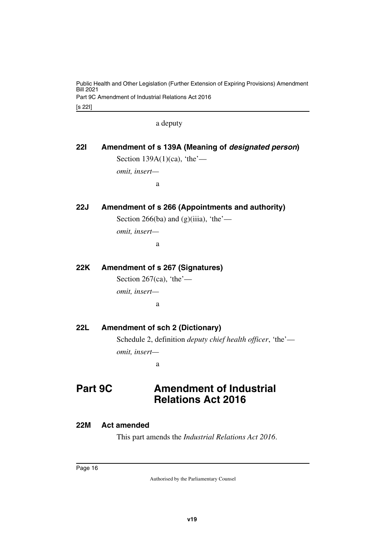[s 22I] Public Health and Other Legislation (Further Extension of Expiring Provisions) Amendment Bill 2021 Part 9C Amendment of Industrial Relations Act 2016

a deputy

<span id="page-17-3"></span><span id="page-17-2"></span><span id="page-17-1"></span><span id="page-17-0"></span>

| <b>221</b> | Amendment of s 139A (Meaning of <i>designated person</i> ) |
|------------|------------------------------------------------------------|
|            | Section $139A(1)(ca)$ , 'the'—                             |
|            | omit, insert-                                              |
|            | a                                                          |
| <b>22J</b> | Amendment of s 266 (Appointments and authority)            |
|            | Section 266(ba) and (g)(iiia), 'the'—                      |
|            | omit, insert-                                              |
|            | a                                                          |
| 22K        | <b>Amendment of s 267 (Signatures)</b>                     |
|            | Section 267(ca), 'the'—                                    |
|            | omit, insert-                                              |
|            | a                                                          |
| 22L        | <b>Amendment of sch 2 (Dictionary)</b>                     |

<span id="page-17-7"></span><span id="page-17-6"></span><span id="page-17-5"></span><span id="page-17-4"></span>Schedule 2, definition *deputy chief health officer*, 'the' *omit, insert—*

<span id="page-17-9"></span>a

### <span id="page-17-8"></span>**Part 9C Amendment of Industrial Relations Act 2016**

#### <span id="page-17-10"></span>**22M Act amended**

<span id="page-17-11"></span>This part amends the *Industrial Relations Act 2016*.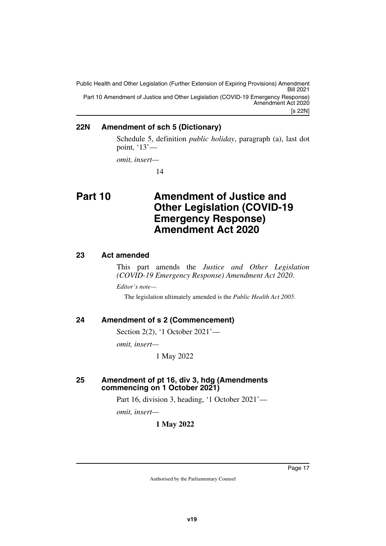[s 22N] Public Health and Other Legislation (Further Extension of Expiring Provisions) Amendment Bill 2021 Part 10 Amendment of Justice and Other Legislation (COVID-19 Emergency Response) Amendment Act 2020

#### <span id="page-18-0"></span>**22N Amendment of sch 5 (Dictionary)**

<span id="page-18-1"></span>Schedule 5, definition *public holiday*, paragraph (a), last dot point, '13'—

*omit, insert—*

<span id="page-18-3"></span>14

### <span id="page-18-2"></span>**Part 10 Amendment of Justice and Other Legislation (COVID-19 Emergency Response) Amendment Act 2020**

#### <span id="page-18-4"></span>**23 Act amended**

<span id="page-18-5"></span>This part amends the *Justice and Other Legislation (COVID-19 Emergency Response) Amendment Act 2020*. *Editor's note—*

The legislation ultimately amended is the *Public Health Act 2005*.

#### <span id="page-18-6"></span>**24 Amendment of s 2 (Commencement)**

<span id="page-18-7"></span>Section 2(2), '1 October 2021'—

*omit, insert—*

1 May 2022

#### <span id="page-18-9"></span><span id="page-18-8"></span>**25 Amendment of pt 16, div 3, hdg (Amendments commencing on 1 October 2021)**

Part 16, division 3, heading, '1 October 2021'—

*omit, insert—*

**1 May 2022**

Page 17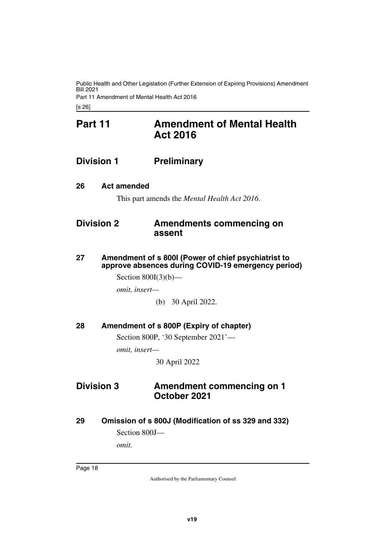### <span id="page-19-1"></span><span id="page-19-0"></span>**Part 11 Amendment of Mental Health Act 2016**

### <span id="page-19-2"></span>**Division 1 Preliminary**

#### <span id="page-19-4"></span>**26 Act amended**

<span id="page-19-7"></span><span id="page-19-5"></span><span id="page-19-3"></span>This part amends the *Mental Health Act 2016*.

### <span id="page-19-6"></span>**Division 2 Amendments commencing on assent**

<span id="page-19-9"></span><span id="page-19-8"></span>**27 Amendment of s 800I (Power of chief psychiatrist to approve absences during COVID-19 emergency period)**

Section  $800I(3)(b)$ —

*omit, insert—*

(b) 30 April 2022.

#### <span id="page-19-10"></span>**28 Amendment of s 800P (Expiry of chapter)**

<span id="page-19-11"></span>Section 800P, '30 September 2021'—

*omit, insert—*

<span id="page-19-13"></span>30 April 2022

### <span id="page-19-12"></span>**Division 3 Amendment commencing on 1 October 2021**

#### <span id="page-19-14"></span>**29 Omission of s 800J (Modification of ss 329 and 332)**

<span id="page-19-15"></span>Section 800J—

*omit.*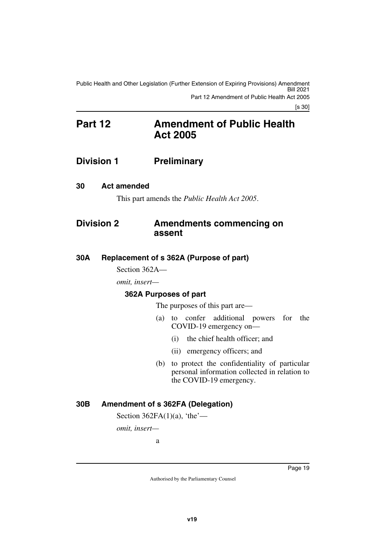#### [s 30]

### <span id="page-20-1"></span><span id="page-20-0"></span>**Part 12 Amendment of Public Health Act 2005**

#### <span id="page-20-2"></span>**Division 1 Preliminary**

#### <span id="page-20-4"></span>**30 Act amended**

<span id="page-20-7"></span><span id="page-20-5"></span><span id="page-20-3"></span>This part amends the *Public Health Act 2005*.

#### <span id="page-20-6"></span>**Division 2 Amendments commencing on assent**

#### <span id="page-20-8"></span>**30A Replacement of s 362A (Purpose of part)**

<span id="page-20-9"></span>Section 362A—

*omit, insert—*

#### <span id="page-20-11"></span><span id="page-20-10"></span>**362A Purposes of part**

The purposes of this part are—

- (a) to confer additional powers for the COVID-19 emergency on—
	- (i) the chief health officer; and
		- (ii) emergency officers; and
- (b) to protect the confidentiality of particular personal information collected in relation to the COVID-19 emergency.

#### <span id="page-20-12"></span>**30B Amendment of s 362FA (Delegation)**

<span id="page-20-13"></span>Section  $362FA(1)(a)$ , 'the'—

*omit, insert—*

a

Page 19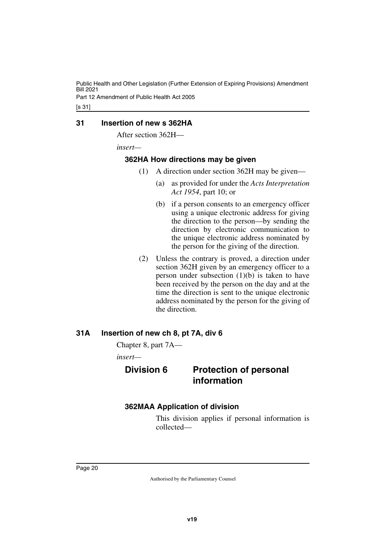#### <span id="page-21-0"></span>**31 Insertion of new s 362HA**

<span id="page-21-1"></span>After section 362H—

*insert—*

#### <span id="page-21-2"></span>**362HA How directions may be given**

- <span id="page-21-3"></span>(1) A direction under section 362H may be given—
	- (a) as provided for under the *Acts Interpretation Act 1954*, part 10; or
	- (b) if a person consents to an emergency officer using a unique electronic address for giving the direction to the person—by sending the direction by electronic communication to the unique electronic address nominated by the person for the giving of the direction.
- (2) Unless the contrary is proved, a direction under section 362H given by an emergency officer to a person under subsection  $(1)(b)$  is taken to have been received by the person on the day and at the time the direction is sent to the unique electronic address nominated by the person for the giving of the direction.

#### <span id="page-21-4"></span>**31A Insertion of new ch 8, pt 7A, div 6**

<span id="page-21-5"></span>Chapter 8, part 7A—

<span id="page-21-6"></span>*insert—*

#### <span id="page-21-7"></span>**Division 6 Protection of personal information**

#### <span id="page-21-8"></span>**362MAA Application of division**

<span id="page-21-9"></span>This division applies if personal information is collected—

Page 20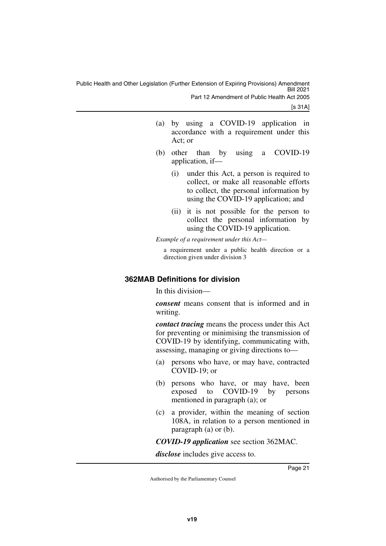[s 31A]

- (a) by using a COVID-19 application in accordance with a requirement under this Act; or
- (b) other than by using a COVID-19 application, if—
	- (i) under this Act, a person is required to collect, or make all reasonable efforts to collect, the personal information by using the COVID-19 application; and
	- (ii) it is not possible for the person to collect the personal information by using the COVID-19 application.

*Example of a requirement under this Act—*

a requirement under a public health direction or a direction given under division 3

#### <span id="page-22-0"></span>**362MAB Definitions for division**

<span id="page-22-1"></span>In this division—

*consent* means consent that is informed and in writing.

*contact tracing* means the process under this Act for preventing or minimising the transmission of COVID-19 by identifying, communicating with, assessing, managing or giving directions to—

- (a) persons who have, or may have, contracted COVID-19; or
- (b) persons who have, or may have, been exposed to COVID-19 by persons mentioned in paragraph (a); or
- (c) a provider, within the meaning of section 108A, in relation to a person mentioned in paragraph (a) or (b).

*COVID-19 application* see section 362MAC.

*disclose* includes give access to.

Page 21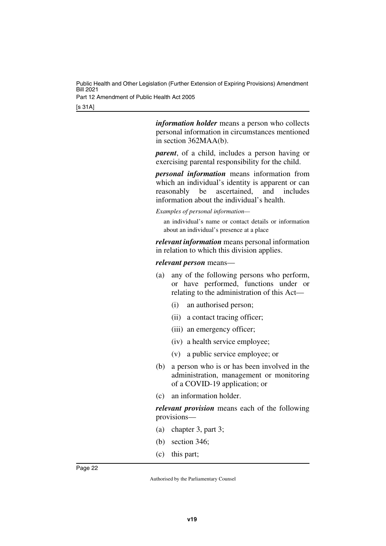> *information holder* means a person who collects personal information in circumstances mentioned in section 362MAA(b).

> *parent*, of a child, includes a person having or exercising parental responsibility for the child.

> *personal information* means information from which an individual's identity is apparent or can reasonably be ascertained, and includes information about the individual's health.

*Examples of personal information—*

an individual's name or contact details or information about an individual's presence at a place

*relevant information* means personal information in relation to which this division applies.

*relevant person* means—

- (a) any of the following persons who perform, or have performed, functions under or relating to the administration of this Act—
	- (i) an authorised person;
	- (ii) a contact tracing officer;
	- (iii) an emergency officer;
	- (iv) a health service employee;
	- (v) a public service employee; or
- (b) a person who is or has been involved in the administration, management or monitoring of a COVID-19 application; or
- (c) an information holder.

*relevant provision* means each of the following provisions—

- (a) chapter 3, part 3;
- (b) section 346;
- (c) this part;

Page 22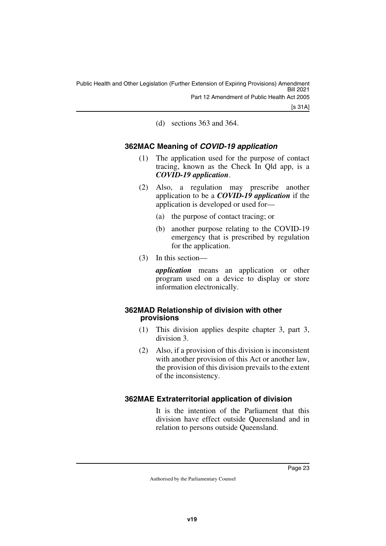[s 31A]

<span id="page-24-1"></span>(d) sections 363 and 364.

#### <span id="page-24-0"></span>**362MAC Meaning of** *COVID-19 application*

- (1) The application used for the purpose of contact tracing, known as the Check In Qld app, is a *COVID-19 application*.
- (2) Also, a regulation may prescribe another application to be a *COVID-19 application* if the application is developed or used for—
	- (a) the purpose of contact tracing; or
	- (b) another purpose relating to the COVID-19 emergency that is prescribed by regulation for the application.
- (3) In this section—

*application* means an application or other program used on a device to display or store information electronically.

#### <span id="page-24-2"></span>**362MAD Relationship of division with other provisions**

- <span id="page-24-3"></span>(1) This division applies despite chapter 3, part 3, division 3.
- (2) Also, if a provision of this division is inconsistent with another provision of this Act or another law, the provision of this division prevails to the extent of the inconsistency.

#### <span id="page-24-4"></span>**362MAE Extraterritorial application of division**

<span id="page-24-5"></span>It is the intention of the Parliament that this division have effect outside Queensland and in relation to persons outside Queensland.

Page 23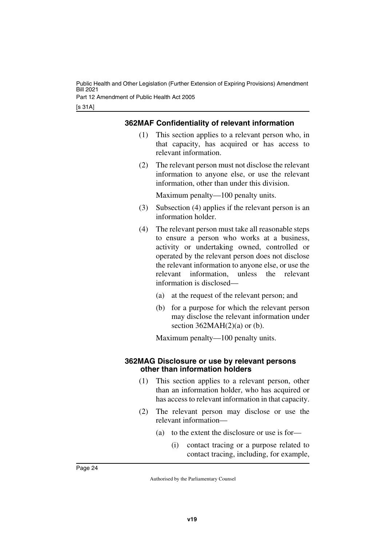#### <span id="page-25-0"></span>**362MAF Confidentiality of relevant information**

- <span id="page-25-1"></span>(1) This section applies to a relevant person who, in that capacity, has acquired or has access to relevant information.
- (2) The relevant person must not disclose the relevant information to anyone else, or use the relevant information, other than under this division.

Maximum penalty—100 penalty units.

- (3) Subsection (4) applies if the relevant person is an information holder.
- (4) The relevant person must take all reasonable steps to ensure a person who works at a business, activity or undertaking owned, controlled or operated by the relevant person does not disclose the relevant information to anyone else, or use the relevant information, unless the relevant information is disclosed—
	- (a) at the request of the relevant person; and
	- (b) for a purpose for which the relevant person may disclose the relevant information under section  $362MAH(2)(a)$  or (b).

<span id="page-25-3"></span>Maximum penalty—100 penalty units.

#### <span id="page-25-2"></span>**362MAG Disclosure or use by relevant persons other than information holders**

- (1) This section applies to a relevant person, other than an information holder, who has acquired or has access to relevant information in that capacity.
- (2) The relevant person may disclose or use the relevant information—
	- (a) to the extent the disclosure or use is for—
		- (i) contact tracing or a purpose related to contact tracing, including, for example,

Page 24

Authorised by the Parliamentary Counsel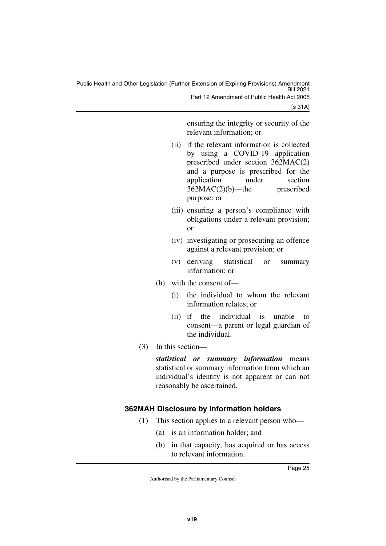[s 31A]

ensuring the integrity or security of the relevant information; or

- (ii) if the relevant information is collected by using a COVID-19 application prescribed under section 362MAC(2) and a purpose is prescribed for the application under section 362MAC(2)(b)—the prescribed purpose; or
- (iii) ensuring a person's compliance with obligations under a relevant provision; or
- (iv) investigating or prosecuting an offence against a relevant provision; or
- (v) deriving statistical or summary information; or
- (b) with the consent of—
	- (i) the individual to whom the relevant information relates; or
	- (ii) if the individual is unable to consent—a parent or legal guardian of the individual.
- (3) In this section—

*statistical or summary information* means statistical or summary information from which an individual's identity is not apparent or can not reasonably be ascertained.

#### <span id="page-26-0"></span>**362MAH Disclosure by information holders**

- <span id="page-26-1"></span>(1) This section applies to a relevant person who—
	- (a) is an information holder; and
	- (b) in that capacity, has acquired or has access to relevant information.

Page 25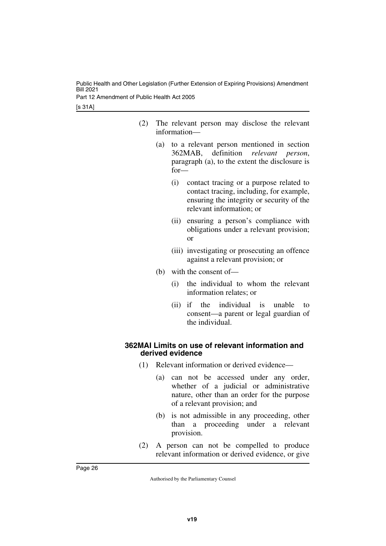[s 31A]

- (2) The relevant person may disclose the relevant information—
	- (a) to a relevant person mentioned in section 362MAB, definition *relevant person*, paragraph (a), to the extent the disclosure is for—
		- (i) contact tracing or a purpose related to contact tracing, including, for example, ensuring the integrity or security of the relevant information; or
		- (ii) ensuring a person's compliance with obligations under a relevant provision; or
		- (iii) investigating or prosecuting an offence against a relevant provision; or
	- (b) with the consent of—
		- (i) the individual to whom the relevant information relates; or
		- (ii) if the individual is unable to consent—a parent or legal guardian of the individual.

#### <span id="page-27-1"></span><span id="page-27-0"></span>**362MAI Limits on use of relevant information and derived evidence**

- (1) Relevant information or derived evidence—
	- (a) can not be accessed under any order, whether of a judicial or administrative nature, other than an order for the purpose of a relevant provision; and
	- (b) is not admissible in any proceeding, other than a proceeding under a relevant provision.
- (2) A person can not be compelled to produce relevant information or derived evidence, or give

Page 26

Authorised by the Parliamentary Counsel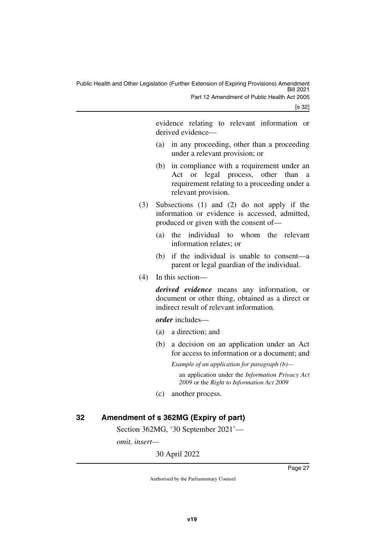[s 32]

evidence relating to relevant information or derived evidence—

- (a) in any proceeding, other than a proceeding under a relevant provision; or
- (b) in compliance with a requirement under an Act or legal process, other than a requirement relating to a proceeding under a relevant provision.
- (3) Subsections (1) and (2) do not apply if the information or evidence is accessed, admitted, produced or given with the consent of—
	- (a) the individual to whom the relevant information relates; or
	- (b) if the individual is unable to consent—a parent or legal guardian of the individual.
- (4) In this section—

*derived evidence* means any information, or document or other thing, obtained as a direct or indirect result of relevant information.

*order* includes—

- (a) a direction; and
- (b) a decision on an application under an Act for access to information or a document; and

*Example of an application for paragraph (b)—*

an application under the *Information Privacy Act 2009* or the *Right to Information Act 2009*

(c) another process.

#### <span id="page-28-0"></span>**32 Amendment of s 362MG (Expiry of part)**

<span id="page-28-1"></span>Section 362MG, '30 September 2021'—

*omit, insert—*

30 April 2022

Page 27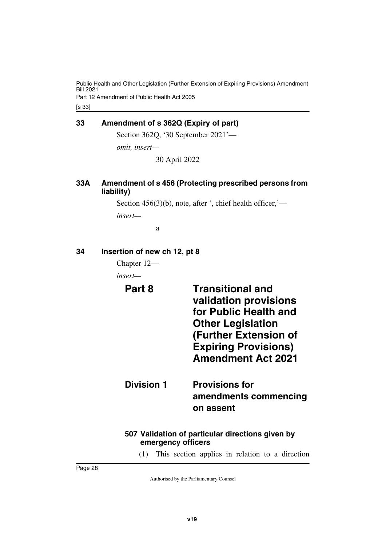#### <span id="page-29-0"></span>**33 Amendment of s 362Q (Expiry of part)**

<span id="page-29-1"></span>Section 362Q, '30 September 2021'—

*omit, insert—* 30 April 2022

#### <span id="page-29-3"></span><span id="page-29-2"></span>**33A Amendment of s 456 (Protecting prescribed persons from liability)**

Section 456(3)(b), note, after ', chief health officer,' *insert—*

<span id="page-29-7"></span>a

#### <span id="page-29-4"></span>**34 Insertion of new ch 12, pt 8**

<span id="page-29-5"></span>Chapter 12—

<span id="page-29-6"></span>*insert—*

**Part 8 Transitional and validation provisions for Public Health and Other Legislation (Further Extension of Expiring Provisions) Amendment Act 2021**

<span id="page-29-9"></span><span id="page-29-8"></span>**Division 1 Provisions for amendments commencing on assent**

#### <span id="page-29-11"></span><span id="page-29-10"></span>**507 Validation of particular directions given by emergency officers**

(1) This section applies in relation to a direction

Page 28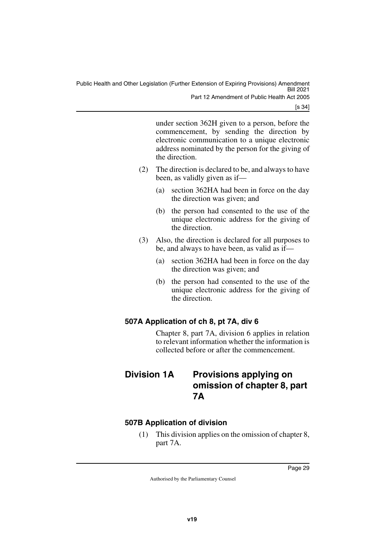[s 34]

under section 362H given to a person, before the commencement, by sending the direction by electronic communication to a unique electronic address nominated by the person for the giving of the direction.

- (2) The direction is declared to be, and always to have been, as validly given as if—
	- (a) section 362HA had been in force on the day the direction was given; and
	- (b) the person had consented to the use of the unique electronic address for the giving of the direction.
- (3) Also, the direction is declared for all purposes to be, and always to have been, as valid as if—
	- (a) section 362HA had been in force on the day the direction was given; and
	- (b) the person had consented to the use of the unique electronic address for the giving of the direction.

#### <span id="page-30-0"></span>**507A Application of ch 8, pt 7A, div 6**

<span id="page-30-3"></span><span id="page-30-1"></span>Chapter 8, part 7A, division 6 applies in relation to relevant information whether the information is collected before or after the commencement.

### <span id="page-30-2"></span>**Division 1A Provisions applying on omission of chapter 8, part 7A**

#### <span id="page-30-4"></span>**507B Application of division**

<span id="page-30-5"></span>(1) This division applies on the omission of chapter 8, part 7A.

Page 29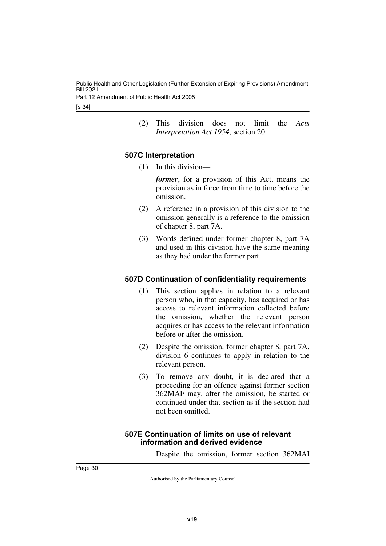- [s 34]
- (2) This division does not limit the *Acts Interpretation Act 1954*, section 20.

#### <span id="page-31-0"></span>**507C Interpretation**

<span id="page-31-1"></span>(1) In this division—

*former*, for a provision of this Act, means the provision as in force from time to time before the omission.

- (2) A reference in a provision of this division to the omission generally is a reference to the omission of chapter 8, part 7A.
- (3) Words defined under former chapter 8, part 7A and used in this division have the same meaning as they had under the former part.

#### <span id="page-31-2"></span>**507D Continuation of confidentiality requirements**

- <span id="page-31-3"></span>(1) This section applies in relation to a relevant person who, in that capacity, has acquired or has access to relevant information collected before the omission, whether the relevant person acquires or has access to the relevant information before or after the omission.
- (2) Despite the omission, former chapter 8, part 7A, division 6 continues to apply in relation to the relevant person.
- (3) To remove any doubt, it is declared that a proceeding for an offence against former section 362MAF may, after the omission, be started or continued under that section as if the section had not been omitted.

#### <span id="page-31-5"></span><span id="page-31-4"></span>**507E Continuation of limits on use of relevant information and derived evidence**

Despite the omission, former section 362MAI

Page 30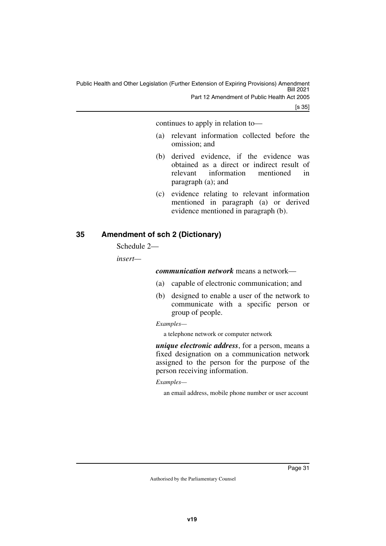[s 35]

continues to apply in relation to—

- (a) relevant information collected before the omission; and
- (b) derived evidence, if the evidence was obtained as a direct or indirect result of relevant information mentioned in paragraph (a); and
- (c) evidence relating to relevant information mentioned in paragraph (a) or derived evidence mentioned in paragraph (b).

#### <span id="page-32-0"></span>**35 Amendment of sch 2 (Dictionary)**

<span id="page-32-1"></span>Schedule 2—

*insert—*

*communication network* means a network—

- (a) capable of electronic communication; and
- (b) designed to enable a user of the network to communicate with a specific person or group of people.

#### *Examples—*

a telephone network or computer network

*unique electronic address*, for a person, means a fixed designation on a communication network assigned to the person for the purpose of the person receiving information.

#### *Examples—*

an email address, mobile phone number or user account

Page 31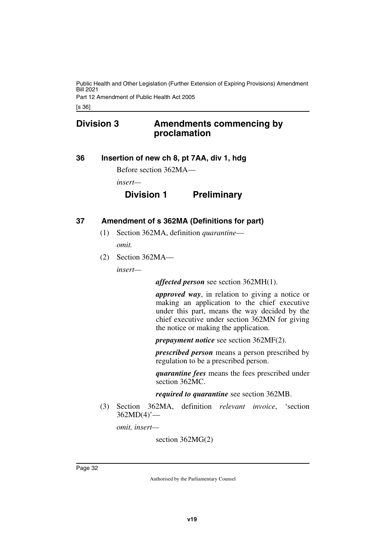### <span id="page-33-0"></span>**Division 3 Amendments commencing by proclamation**

#### <span id="page-33-2"></span>**36 Insertion of new ch 8, pt 7AA, div 1, hdg**

<span id="page-33-3"></span><span id="page-33-1"></span>Before section 362MA—

*insert—*

#### **Division 1 Preliminary**

#### <span id="page-33-4"></span>**37 Amendment of s 362MA (Definitions for part)**

- <span id="page-33-5"></span>(1) Section 362MA, definition *quarantine omit.*
- (2) Section 362MA—

*insert—*

*affected person* see section 362MH(1).

*approved way*, in relation to giving a notice or making an application to the chief executive under this part, means the way decided by the chief executive under section 362MN for giving the notice or making the application.

*prepayment notice* see section 362MF(2).

*prescribed person* means a person prescribed by regulation to be a prescribed person.

*quarantine fees* means the fees prescribed under section 362MC.

#### *required to quarantine* see section 362MB.

(3) Section 362MA, definition *relevant invoice*, 'section  $362MD(4)'$ —

*omit, insert—*

section 362MG(2)

Page 32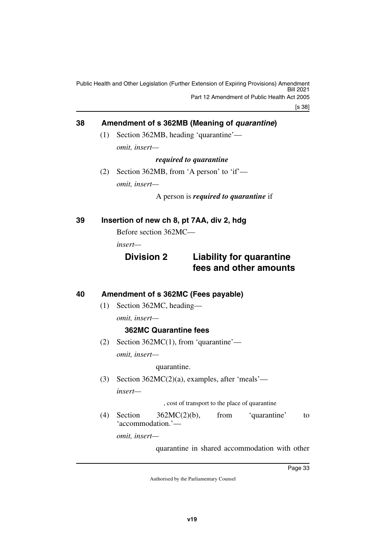#### <span id="page-34-0"></span>**38 Amendment of s 362MB (Meaning of** *quarantine***)**

<span id="page-34-1"></span>(1) Section 362MB, heading 'quarantine' *omit, insert—*

*required to quarantine*

(2) Section 362MB, from 'A person' to 'if' *omit, insert—*

A person is *required to quarantine* if

<span id="page-34-2"></span>**39 Insertion of new ch 8, pt 7AA, div 2, hdg**

<span id="page-34-3"></span>Before section 362MC—

*insert—*

#### **Division 2 Liability for quarantine fees and other amounts**

#### <span id="page-34-4"></span>**40 Amendment of s 362MC (Fees payable)**

<span id="page-34-5"></span>(1) Section 362MC, heading—

*omit, insert—*

#### **362MC Quarantine fees**

(2) Section 362MC(1), from 'quarantine' *omit, insert—*

quarantine.

(3) Section 362MC(2)(a), examples, after 'meals' *insert—*

, cost of transport to the place of quarantine

(4) Section 362MC(2)(b), from 'quarantine' to 'accommodation.'—

*omit, insert—*

quarantine in shared accommodation with other

Page 33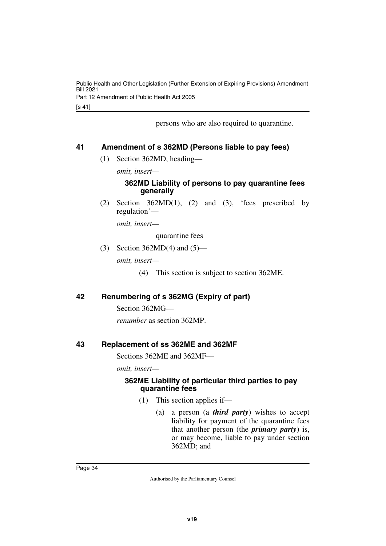[s 41]

persons who are also required to quarantine.

#### <span id="page-35-0"></span>**41 Amendment of s 362MD (Persons liable to pay fees)**

<span id="page-35-1"></span>(1) Section 362MD, heading—

*omit, insert—*

#### **362MD Liability of persons to pay quarantine fees generally**

(2) Section  $362MD(1)$ , (2) and (3), 'fees prescribed by regulation'—

*omit, insert—*

quarantine fees

(3) Section 362MD(4) and (5)—

*omit, insert—*

(4) This section is subject to section 362ME.

#### <span id="page-35-2"></span>**42 Renumbering of s 362MG (Expiry of part)**

<span id="page-35-3"></span>Section 362MG—

<span id="page-35-5"></span>*renumber* as section 362MP.

#### <span id="page-35-4"></span>**43 Replacement of ss 362ME and 362MF**

Sections 362ME and 362MF—

*omit, insert—*

#### <span id="page-35-7"></span><span id="page-35-6"></span>**362ME Liability of particular third parties to pay quarantine fees**

- (1) This section applies if—
	- (a) a person (a *third party*) wishes to accept liability for payment of the quarantine fees that another person (the *primary party*) is, or may become, liable to pay under section 362MD; and

Page 34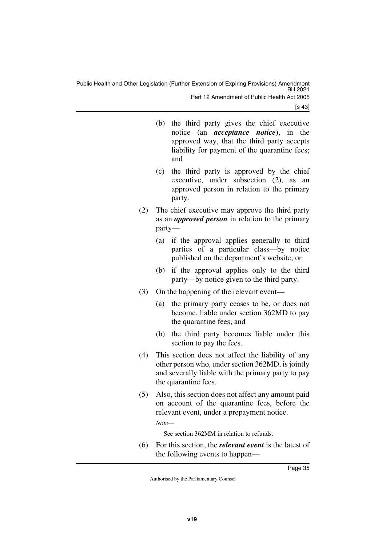[s 43]

- (b) the third party gives the chief executive notice (an *acceptance notice*), in the approved way, that the third party accepts liability for payment of the quarantine fees; and
- (c) the third party is approved by the chief executive, under subsection (2), as an approved person in relation to the primary party.
- (2) The chief executive may approve the third party as an *approved person* in relation to the primary party—
	- (a) if the approval applies generally to third parties of a particular class—by notice published on the department's website; or
	- (b) if the approval applies only to the third party—by notice given to the third party.
- (3) On the happening of the relevant event—
	- (a) the primary party ceases to be, or does not become, liable under section 362MD to pay the quarantine fees; and
	- (b) the third party becomes liable under this section to pay the fees.
- (4) This section does not affect the liability of any other person who, under section 362MD, is jointly and severally liable with the primary party to pay the quarantine fees.
- (5) Also, this section does not affect any amount paid on account of the quarantine fees, before the relevant event, under a prepayment notice.

*Note—*

See section 362MM in relation to refunds.

(6) For this section, the *relevant event* is the latest of the following events to happen—

Page 35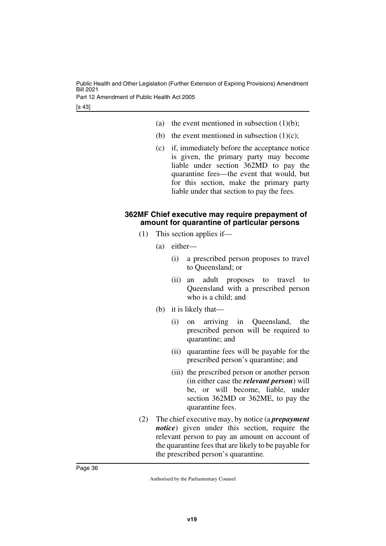[s 43]

- (a) the event mentioned in subsection  $(1)(b)$ ;
- (b) the event mentioned in subsection  $(1)(c)$ ;
- (c) if, immediately before the acceptance notice is given, the primary party may become liable under section 362MD to pay the quarantine fees—the event that would, but for this section, make the primary party liable under that section to pay the fees.

#### <span id="page-37-1"></span><span id="page-37-0"></span>**362MF Chief executive may require prepayment of amount for quarantine of particular persons**

- (1) This section applies if—
	- (a) either—
		- (i) a prescribed person proposes to travel to Queensland; or
		- (ii) an adult proposes to travel to Queensland with a prescribed person who is a child; and
	- (b) it is likely that—
		- (i) on arriving in Queensland, the prescribed person will be required to quarantine; and
		- (ii) quarantine fees will be payable for the prescribed person's quarantine; and
		- (iii) the prescribed person or another person (in either case the *relevant person*) will be, or will become, liable, under section 362MD or 362ME, to pay the quarantine fees.
- (2) The chief executive may, by notice (a *prepayment notice*) given under this section, require the relevant person to pay an amount on account of the quarantine fees that are likely to be payable for the prescribed person's quarantine.

Page 36

Authorised by the Parliamentary Counsel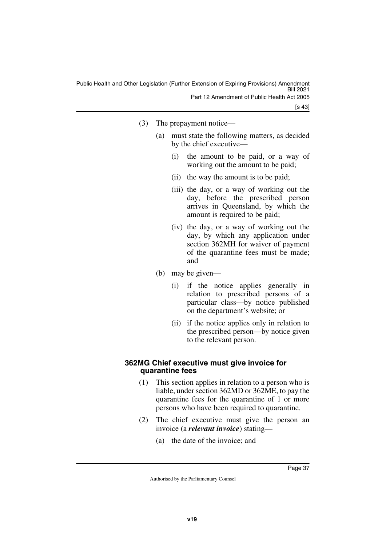[s 43]

- (3) The prepayment notice—
	- (a) must state the following matters, as decided by the chief executive—
		- (i) the amount to be paid, or a way of working out the amount to be paid;
		- (ii) the way the amount is to be paid;
		- (iii) the day, or a way of working out the day, before the prescribed person arrives in Queensland, by which the amount is required to be paid;
		- (iv) the day, or a way of working out the day, by which any application under section 362MH for waiver of payment of the quarantine fees must be made; and
	- (b) may be given—
		- (i) if the notice applies generally in relation to prescribed persons of a particular class—by notice published on the department's website; or
		- (ii) if the notice applies only in relation to the prescribed person—by notice given to the relevant person.

#### <span id="page-38-1"></span><span id="page-38-0"></span>**362MG Chief executive must give invoice for quarantine fees**

- (1) This section applies in relation to a person who is liable, under section 362MD or 362ME, to pay the quarantine fees for the quarantine of 1 or more persons who have been required to quarantine.
- (2) The chief executive must give the person an invoice (a *relevant invoice*) stating—
	- (a) the date of the invoice; and

Page 37

Authorised by the Parliamentary Counsel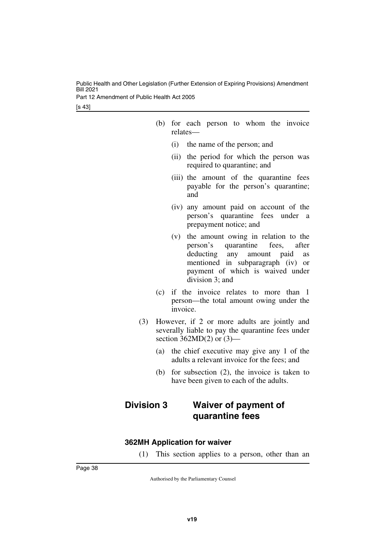[s 43]

- (b) for each person to whom the invoice relates—
	- (i) the name of the person; and
	- (ii) the period for which the person was required to quarantine; and
	- (iii) the amount of the quarantine fees payable for the person's quarantine; and
	- (iv) any amount paid on account of the person's quarantine fees under a prepayment notice; and
	- (v) the amount owing in relation to the person's quarantine fees, after deducting any amount paid as mentioned in subparagraph (iv) or payment of which is waived under division 3; and
- (c) if the invoice relates to more than 1 person—the total amount owing under the invoice.
- (3) However, if 2 or more adults are jointly and severally liable to pay the quarantine fees under section  $362MD(2)$  or  $(3)$ —
	- (a) the chief executive may give any 1 of the adults a relevant invoice for the fees; and
	- (b) for subsection (2), the invoice is taken to have been given to each of the adults.

### <span id="page-39-1"></span><span id="page-39-0"></span>**Division 3 Waiver of payment of quarantine fees**

#### <span id="page-39-2"></span>**362MH Application for waiver**

<span id="page-39-3"></span>(1) This section applies to a person, other than an

Page 38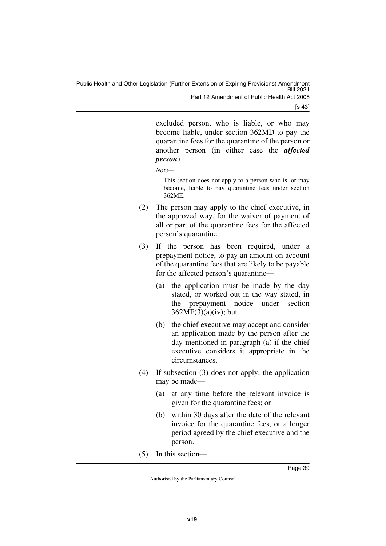[s 43]

excluded person, who is liable, or who may become liable, under section 362MD to pay the quarantine fees for the quarantine of the person or another person (in either case the *affected person*).

*Note—*

This section does not apply to a person who is, or may become, liable to pay quarantine fees under section 362ME.

- (2) The person may apply to the chief executive, in the approved way, for the waiver of payment of all or part of the quarantine fees for the affected person's quarantine.
- (3) If the person has been required, under a prepayment notice, to pay an amount on account of the quarantine fees that are likely to be payable for the affected person's quarantine—
	- (a) the application must be made by the day stated, or worked out in the way stated, in the prepayment notice under section  $362MF(3)(a)(iv)$ ; but
	- (b) the chief executive may accept and consider an application made by the person after the day mentioned in paragraph (a) if the chief executive considers it appropriate in the circumstances.
- (4) If subsection (3) does not apply, the application may be made—
	- (a) at any time before the relevant invoice is given for the quarantine fees; or
	- (b) within 30 days after the date of the relevant invoice for the quarantine fees, or a longer period agreed by the chief executive and the person.
- (5) In this section—

Page 39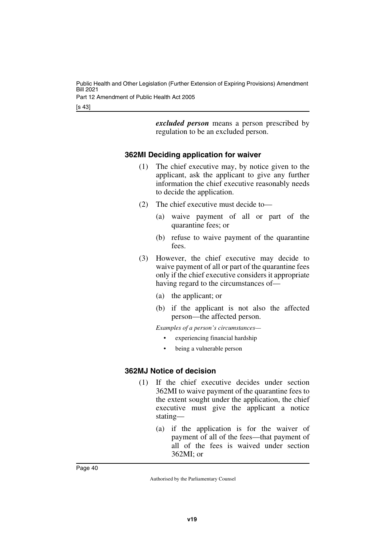> *excluded person* means a person prescribed by regulation to be an excluded person.

#### <span id="page-41-0"></span>**362MI Deciding application for waiver**

- <span id="page-41-1"></span>(1) The chief executive may, by notice given to the applicant, ask the applicant to give any further information the chief executive reasonably needs to decide the application.
- (2) The chief executive must decide to—
	- (a) waive payment of all or part of the quarantine fees; or
	- (b) refuse to waive payment of the quarantine fees.
- (3) However, the chief executive may decide to waive payment of all or part of the quarantine fees only if the chief executive considers it appropriate having regard to the circumstances of—
	- (a) the applicant; or
	- (b) if the applicant is not also the affected person—the affected person.

*Examples of a person's circumstances—*

- experiencing financial hardship
- <span id="page-41-3"></span>being a vulnerable person

#### <span id="page-41-2"></span>**362MJ Notice of decision**

- (1) If the chief executive decides under section 362MI to waive payment of the quarantine fees to the extent sought under the application, the chief executive must give the applicant a notice stating—
	- (a) if the application is for the waiver of payment of all of the fees—that payment of all of the fees is waived under section 362MI; or

Page 40

Authorised by the Parliamentary Counsel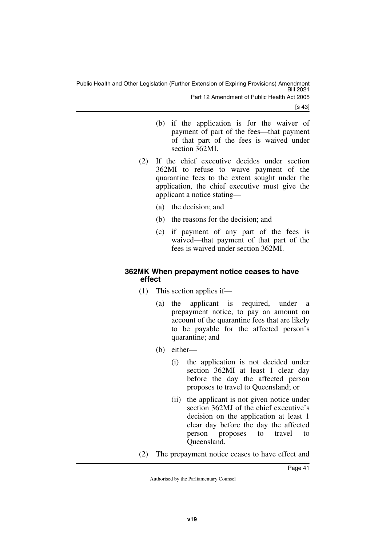[s 43]

- (b) if the application is for the waiver of payment of part of the fees—that payment of that part of the fees is waived under section 362MI.
- (2) If the chief executive decides under section 362MI to refuse to waive payment of the quarantine fees to the extent sought under the application, the chief executive must give the applicant a notice stating—
	- (a) the decision; and
	- (b) the reasons for the decision; and
	- (c) if payment of any part of the fees is waived—that payment of that part of the fees is waived under section 362MI.

#### <span id="page-42-1"></span><span id="page-42-0"></span>**362MK When prepayment notice ceases to have effect**

- (1) This section applies if—
	- (a) the applicant is required, under a prepayment notice, to pay an amount on account of the quarantine fees that are likely to be payable for the affected person's quarantine; and
	- (b) either—
		- (i) the application is not decided under section 362MI at least 1 clear day before the day the affected person proposes to travel to Queensland; or
		- (ii) the applicant is not given notice under section 362MJ of the chief executive's decision on the application at least 1 clear day before the day the affected person proposes to travel to Queensland.
- (2) The prepayment notice ceases to have effect and

Page 41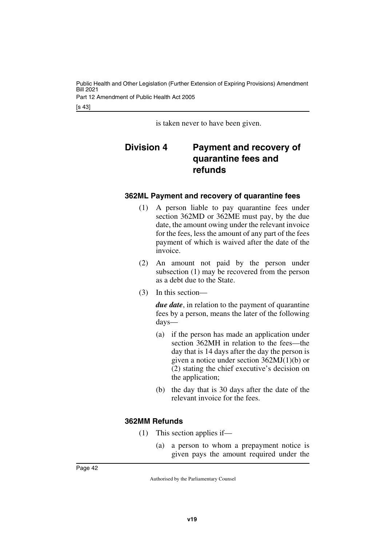<span id="page-43-1"></span>is taken never to have been given.

### <span id="page-43-0"></span>**Division 4 Payment and recovery of quarantine fees and refunds**

#### <span id="page-43-2"></span>**362ML Payment and recovery of quarantine fees**

- <span id="page-43-3"></span>(1) A person liable to pay quarantine fees under section 362MD or 362ME must pay, by the due date, the amount owing under the relevant invoice for the fees, less the amount of any part of the fees payment of which is waived after the date of the invoice.
- (2) An amount not paid by the person under subsection (1) may be recovered from the person as a debt due to the State.
- (3) In this section—

*due date*, in relation to the payment of quarantine fees by a person, means the later of the following days—

- (a) if the person has made an application under section 362MH in relation to the fees—the day that is 14 days after the day the person is given a notice under section 362MJ(1)(b) or (2) stating the chief executive's decision on the application;
- (b) the day that is 30 days after the date of the relevant invoice for the fees.

#### <span id="page-43-4"></span>**362MM Refunds**

- <span id="page-43-5"></span>(1) This section applies if—
	- (a) a person to whom a prepayment notice is given pays the amount required under the

Page 42

Authorised by the Parliamentary Counsel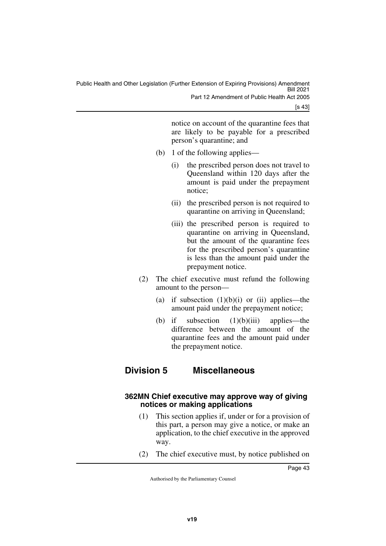[s 43]

notice on account of the quarantine fees that are likely to be payable for a prescribed person's quarantine; and

- (b) 1 of the following applies—
	- (i) the prescribed person does not travel to Queensland within 120 days after the amount is paid under the prepayment notice;
	- (ii) the prescribed person is not required to quarantine on arriving in Queensland;
	- (iii) the prescribed person is required to quarantine on arriving in Queensland, but the amount of the quarantine fees for the prescribed person's quarantine is less than the amount paid under the prepayment notice.
- (2) The chief executive must refund the following amount to the person—
	- (a) if subsection  $(1)(b)(i)$  or  $(ii)$  applies—the amount paid under the prepayment notice;
	- (b) if subsection  $(1)(b)(iii)$  applies—the difference between the amount of the quarantine fees and the amount paid under the prepayment notice.

#### <span id="page-44-1"></span><span id="page-44-0"></span>**Division 5 Miscellaneous**

#### <span id="page-44-3"></span><span id="page-44-2"></span>**362MN Chief executive may approve way of giving notices or making applications**

- (1) This section applies if, under or for a provision of this part, a person may give a notice, or make an application, to the chief executive in the approved way.
- (2) The chief executive must, by notice published on

Page 43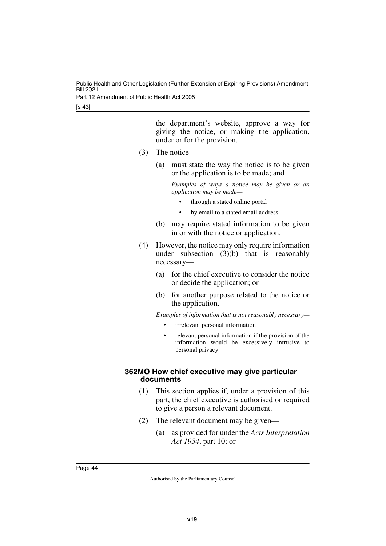[s 43]

the department's website, approve a way for giving the notice, or making the application, under or for the provision.

- (3) The notice—
	- (a) must state the way the notice is to be given or the application is to be made; and

*Examples of ways a notice may be given or an application may be made—*

- through a stated online portal
- by email to a stated email address
- (b) may require stated information to be given in or with the notice or application.
- (4) However, the notice may only require information under subsection  $(3)(b)$  that is reasonably necessary—
	- (a) for the chief executive to consider the notice or decide the application; or
	- (b) for another purpose related to the notice or the application.

*Examples of information that is not reasonably necessary—*

- irrelevant personal information
- relevant personal information if the provision of the information would be excessively intrusive to personal privacy

#### <span id="page-45-1"></span><span id="page-45-0"></span>**362MO How chief executive may give particular documents**

- (1) This section applies if, under a provision of this part, the chief executive is authorised or required to give a person a relevant document.
- (2) The relevant document may be given—
	- (a) as provided for under the *Acts Interpretation Act 1954*, part 10; or

Page 44

Authorised by the Parliamentary Counsel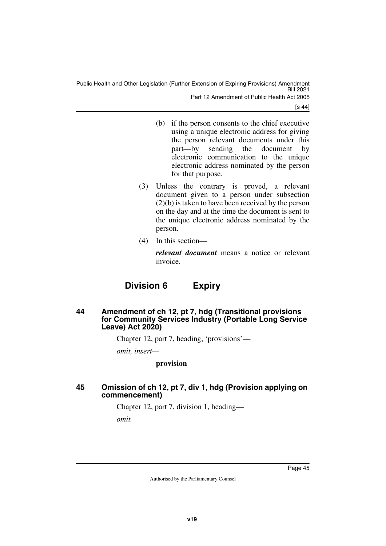[s 44]

- (b) if the person consents to the chief executive using a unique electronic address for giving the person relevant documents under this<br>part—by sending the document by part—by sending the document by electronic communication to the unique electronic address nominated by the person for that purpose.
- (3) Unless the contrary is proved, a relevant document given to a person under subsection (2)(b) is taken to have been received by the person on the day and at the time the document is sent to the unique electronic address nominated by the person.
- (4) In this section—

*relevant document* means a notice or relevant invoice.

#### **Division 6 Expiry**

#### <span id="page-46-1"></span><span id="page-46-0"></span>**44 Amendment of ch 12, pt 7, hdg (Transitional provisions for Community Services Industry (Portable Long Service Leave) Act 2020)**

Chapter 12, part 7, heading, 'provisions'—

*omit, insert—*

#### **provision**

#### <span id="page-46-3"></span><span id="page-46-2"></span>**45 Omission of ch 12, pt 7, div 1, hdg (Provision applying on commencement)**

Chapter 12, part 7, division 1, heading *omit.*

Page 45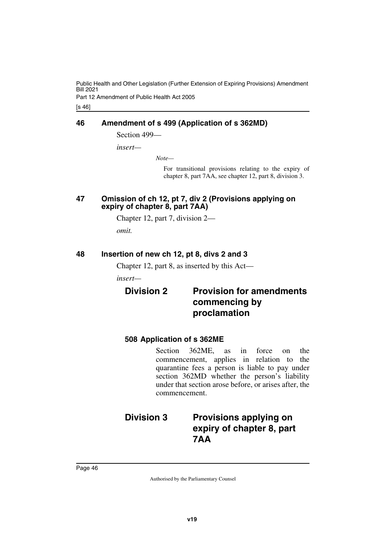#### <span id="page-47-0"></span>**46 Amendment of s 499 (Application of s 362MD)**

<span id="page-47-1"></span>Section 499—

*insert—*

*Note—*

For transitional provisions relating to the expiry of chapter 8, part 7AA, see chapter 12, part 8, division 3.

#### <span id="page-47-3"></span><span id="page-47-2"></span>**47 Omission of ch 12, pt 7, div 2 (Provisions applying on expiry of chapter 8, part 7AA)**

Chapter 12, part 7, division 2 *omit.*

#### <span id="page-47-4"></span>**48 Insertion of new ch 12, pt 8, divs 2 and 3**

<span id="page-47-5"></span>Chapter 12, part 8, as inserted by this Act—

*insert—*

### <span id="page-47-7"></span><span id="page-47-6"></span>**Division 2 Provision for amendments commencing by proclamation**

#### <span id="page-47-9"></span><span id="page-47-8"></span>**508 Application of s 362ME**

<span id="page-47-11"></span>Section 362ME, as in force on the commencement, applies in relation to the quarantine fees a person is liable to pay under section 362MD whether the person's liability under that section arose before, or arises after, the commencement.

### <span id="page-47-10"></span>**Division 3 Provisions applying on expiry of chapter 8, part 7AA**

Page 46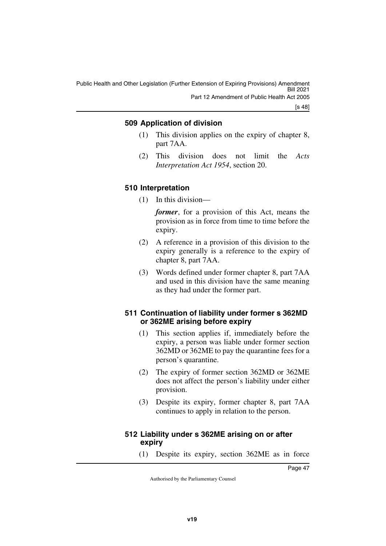[s 48]

#### <span id="page-48-1"></span><span id="page-48-0"></span>**509 Application of division**

- (1) This division applies on the expiry of chapter 8, part 7AA.
- (2) This division does not limit the *Acts Interpretation Act 1954*, section 20.

#### <span id="page-48-3"></span><span id="page-48-2"></span>**510 Interpretation**

(1) In this division—

*former*, for a provision of this Act, means the provision as in force from time to time before the expiry.

- (2) A reference in a provision of this division to the expiry generally is a reference to the expiry of chapter 8, part 7AA.
- (3) Words defined under former chapter 8, part 7AA and used in this division have the same meaning as they had under the former part.

#### <span id="page-48-5"></span><span id="page-48-4"></span>**511 Continuation of liability under former s 362MD or 362ME arising before expiry**

- (1) This section applies if, immediately before the expiry, a person was liable under former section 362MD or 362ME to pay the quarantine fees for a person's quarantine.
- (2) The expiry of former section 362MD or 362ME does not affect the person's liability under either provision.
- (3) Despite its expiry, former chapter 8, part 7AA continues to apply in relation to the person.

#### <span id="page-48-7"></span><span id="page-48-6"></span>**512 Liability under s 362ME arising on or after expiry**

(1) Despite its expiry, section 362ME as in force

Page 47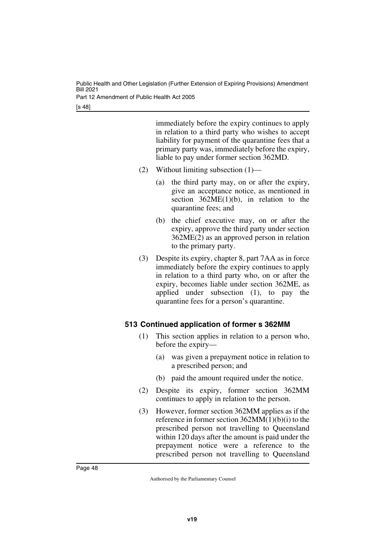[s 48]

immediately before the expiry continues to apply in relation to a third party who wishes to accept liability for payment of the quarantine fees that a primary party was, immediately before the expiry, liable to pay under former section 362MD.

- (2) Without limiting subsection (1)—
	- (a) the third party may, on or after the expiry, give an acceptance notice, as mentioned in section  $362ME(1)(b)$ , in relation to the quarantine fees; and
	- (b) the chief executive may, on or after the expiry, approve the third party under section 362ME(2) as an approved person in relation to the primary party.
- (3) Despite its expiry, chapter 8, part 7AA as in force immediately before the expiry continues to apply in relation to a third party who, on or after the expiry, becomes liable under section 362ME, as applied under subsection (1), to pay the quarantine fees for a person's quarantine.

#### <span id="page-49-1"></span><span id="page-49-0"></span>**513 Continued application of former s 362MM**

- (1) This section applies in relation to a person who, before the expiry—
	- (a) was given a prepayment notice in relation to a prescribed person; and
	- (b) paid the amount required under the notice.
- (2) Despite its expiry, former section 362MM continues to apply in relation to the person.
- (3) However, former section 362MM applies as if the reference in former section 362MM(1)(b)(i) to the prescribed person not travelling to Queensland within 120 days after the amount is paid under the prepayment notice were a reference to the prescribed person not travelling to Queensland

Page 48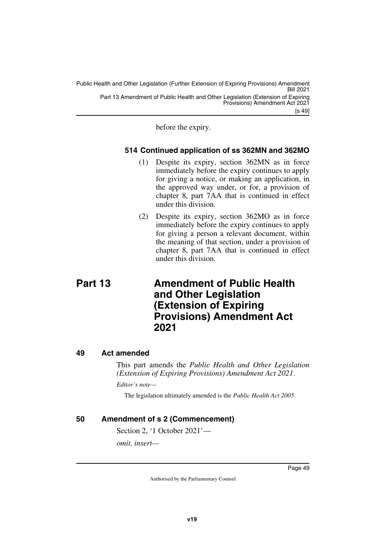[s 49] Public Health and Other Legislation (Further Extension of Expiring Provisions) Amendment Bill 2021 Part 13 Amendment of Public Health and Other Legislation (Extension of Expiring Provisions) Amendment Act 2021

before the expiry.

#### <span id="page-50-1"></span><span id="page-50-0"></span>**514 Continued application of ss 362MN and 362MO**

- (1) Despite its expiry, section 362MN as in force immediately before the expiry continues to apply for giving a notice, or making an application, in the approved way under, or for, a provision of chapter 8, part 7AA that is continued in effect under this division.
- <span id="page-50-3"></span>(2) Despite its expiry, section 362MO as in force immediately before the expiry continues to apply for giving a person a relevant document, within the meaning of that section, under a provision of chapter 8, part 7AA that is continued in effect under this division.

### <span id="page-50-2"></span>**Part 13 Amendment of Public Health and Other Legislation (Extension of Expiring Provisions) Amendment Act 2021**

#### <span id="page-50-4"></span>**49 Act amended**

<span id="page-50-5"></span>This part amends the *Public Health and Other Legislation (Extension of Expiring Provisions) Amendment Act 2021*.

*Editor's note—*

The legislation ultimately amended is the *Public Health Act 2005*.

#### <span id="page-50-6"></span>**50 Amendment of s 2 (Commencement)**

<span id="page-50-7"></span>Section 2, '1 October 2021'—

*omit, insert—*

Page 49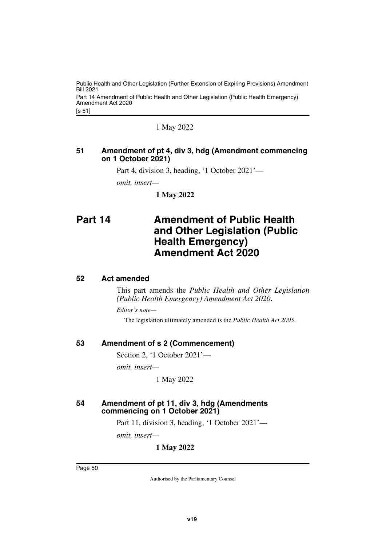[s 51] Public Health and Other Legislation (Further Extension of Expiring Provisions) Amendment Bill 2021 Part 14 Amendment of Public Health and Other Legislation (Public Health Emergency) Amendment Act 2020

1 May 2022

#### <span id="page-51-1"></span><span id="page-51-0"></span>**51 Amendment of pt 4, div 3, hdg (Amendment commencing on 1 October 2021)**

Part 4, division 3, heading, '1 October 2021'—

*omit, insert—*

<span id="page-51-3"></span>**1 May 2022**

### <span id="page-51-2"></span>**Part 14 Amendment of Public Health and Other Legislation (Public Health Emergency) Amendment Act 2020**

#### <span id="page-51-4"></span>**52 Act amended**

<span id="page-51-5"></span>This part amends the *Public Health and Other Legislation (Public Health Emergency) Amendment Act 2020*.

*Editor's note—*

The legislation ultimately amended is the *Public Health Act 2005*.

#### <span id="page-51-6"></span>**53 Amendment of s 2 (Commencement)**

<span id="page-51-7"></span>Section 2, '1 October 2021'—

*omit, insert—*

1 May 2022

#### <span id="page-51-9"></span><span id="page-51-8"></span>**54 Amendment of pt 11, div 3, hdg (Amendments commencing on 1 October 2021)**

Part 11, division 3, heading, '1 October 2021'—

*omit, insert—*

**1 May 2022**

Page 50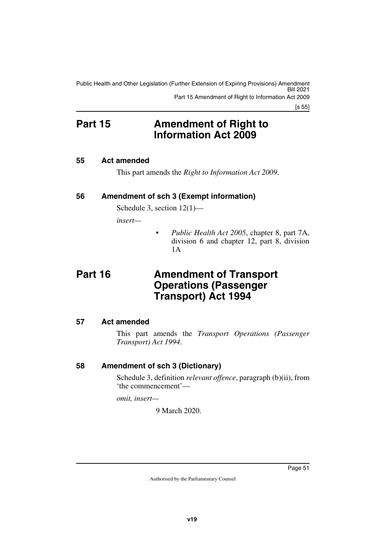[s 55]

### <span id="page-52-0"></span>**Part 15 Amendment of Right to Information Act 2009**

#### <span id="page-52-2"></span>**55 Act amended**

<span id="page-52-5"></span><span id="page-52-3"></span><span id="page-52-1"></span>This part amends the *Right to Information Act 2009*.

#### <span id="page-52-4"></span>**56 Amendment of sch 3 (Exempt information)**

Schedule 3, section 12(1)—

*insert—*

<span id="page-52-7"></span>• *Public Health Act 2005*, chapter 8, part 7A, division 6 and chapter 12, part 8, division 1A

### <span id="page-52-6"></span>**Part 16 Amendment of Transport Operations (Passenger Transport) Act 1994**

#### <span id="page-52-8"></span>**57 Act amended**

<span id="page-52-9"></span>This part amends the *Transport Operations (Passenger Transport) Act 1994*.

#### <span id="page-52-10"></span>**58 Amendment of sch 3 (Dictionary)**

<span id="page-52-11"></span>Schedule 3, definition *relevant offence*, paragraph (b)(ii), from 'the commencement'—

*omit, insert—*

9 March 2020.

Page 51